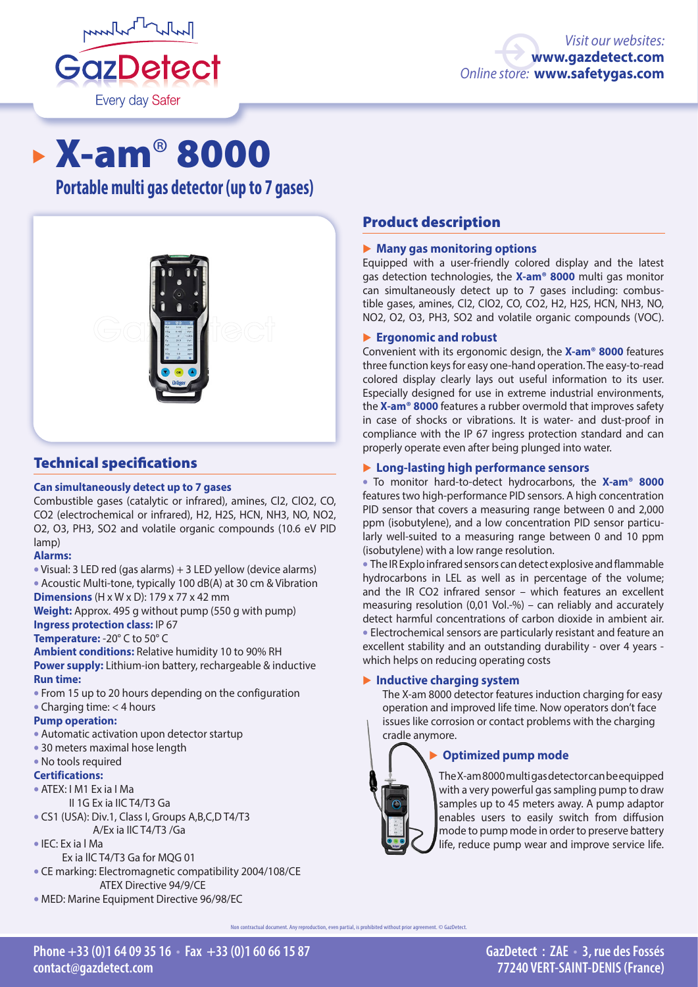

# X-am® 8000

**Portable multi gas detector (up to 7 gases)**



# Technical specifications

#### **Can simultaneously detect up to 7 gases**

Combustible gases (catalytic or infrared), amines, Cl2, ClO2, CO, CO2 (electrochemical or infrared), H2, H2S, HCN, NH3, NO, NO2, O2, O3, PH3, SO2 and volatile organic compounds (10.6 eV PID lamp)

## **Alarms:**

• Visual: 3 LED red (gas alarms) + 3 LED yellow (device alarms) • Acoustic Multi-tone, typically 100 dB(A) at 30 cm & Vibration **Dimensions** (H x W x D): 179 x 77 x 42 mm

**Weight:** Approx. 495 g without pump (550 g with pump) **Ingress protection class:** IP 67

## **Temperature:** -20° C to 50° C

**Ambient conditions:** Relative humidity 10 to 90% RH **Power supply:** Lithium-ion battery, rechargeable & inductive **Run time:**

- From 15 up to 20 hours depending on the configuration
- Charging time: < 4 hours

## **Pump operation:**

- Automatic activation upon detector startup
- 30 meters maximal hose length
- No tools required

## **Certifications:**

- ATEX: I M1 Ex ia I Ma
- II 1G Ex ia IIC T4/T3 Ga
- CS1 (USA): Div.1, Class I, Groups A,B,C,D T4/T3 A/Ex ia IIC T4/T3 /Ga
- IEC: Ex ia l Ma
- Ex ia llC T4/T3 Ga for MQG 01
- CE marking: Electromagnetic compatibility 2004/108/CE ATEX Directive 94/9/CE
- MED: Marine Equipment Directive 96/98/EC

# Product description

## � **Many gas monitoring options**

Equipped with a user-friendly colored display and the latest gas detection technologies, the **X-am® 8000** multi gas monitor can simultaneously detect up to 7 gases including: combustible gases, amines, Cl2, ClO2, CO, CO2, H2, H2S, HCN, NH3, NO, NO2, O2, O3, PH3, SO2 and volatile organic compounds (VOC).

## � **Ergonomic and robust**

Convenient with its ergonomic design, the **X-am® 8000** features three function keys for easy one-hand operation. The easy-to-read colored display clearly lays out useful information to its user. Especially designed for use in extreme industrial environments, the **X-am® 8000** features a rubber overmold that improves safety in case of shocks or vibrations. It is water- and dust-proof in compliance with the IP 67 ingress protection standard and can properly operate even after being plunged into water.

## � **Long-lasting high performance sensors**

• To monitor hard-to-detect hydrocarbons, the **X-am® 8000**  features two high-performance PID sensors. A high concentration PID sensor that covers a measuring range between 0 and 2,000 ppm (isobutylene), and a low concentration PID sensor particularly well-suited to a measuring range between 0 and 10 ppm (isobutylene) with a low range resolution.

• The IR Explo infrared sensors can detect explosive and flammable hydrocarbons in LEL as well as in percentage of the volume; and the IR CO2 infrared sensor – which features an excellent measuring resolution (0,01 Vol.-%) – can reliably and accurately detect harmful concentrations of carbon dioxide in ambient air. • Electrochemical sensors are particularly resistant and feature an excellent stability and an outstanding durability - over 4 years which helps on reducing operating costs

## � **Inductive charging system**

The X-am 8000 detector features induction charging for easy operation and improved life time. Now operators don't face issues like corrosion or contact problems with the charging cradle anymore.

## � **Optimized pump mode**



The X-am 8000 multi gas detector can be equipped with a very powerful gas sampling pump to draw samples up to 45 meters away. A pump adaptor enables users to easily switch from diffusion mode to pump mode in order to preserve battery life, reduce pump wear and improve service life.